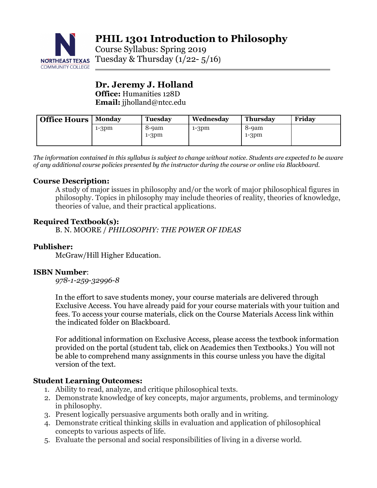

**PHIL 1301 Introduction to Philosophy**

Course Syllabus: Spring 2019 NORTHEAST TEXAS TUESDAY & Thursday  $(1/22 - 5/16)$ 

# **Dr. Jeremy J. Holland Office:** Humanities 128D

**Email:** jjholland@ntcc.edu

| <b>Office Hours</b> | <b>Monday</b> | <b>Tuesday</b>   | Wednesday | <b>Thursday</b>  | Fridav |
|---------------------|---------------|------------------|-----------|------------------|--------|
|                     | $1-3pm$       | 8-9am<br>$1-3pm$ | $1-3pm$   | 8-9am<br>$1-3pm$ |        |
|                     |               |                  |           |                  |        |

*The information contained in this syllabus is subject to change without notice. Students are expected to be aware of any additional course policies presented by the instructor during the course or online via Blackboard.*

## **Course Description:**

A study of major issues in philosophy and/or the work of major philosophical figures in philosophy. Topics in philosophy may include theories of reality, theories of knowledge, theories of value, and their practical applications.

## **Required Textbook(s):**

B. N. MOORE / *PHILOSOPHY: THE POWER OF IDEAS* 

## **Publisher:**

McGraw/Hill Higher Education.

## **ISBN Number**:

*978-1-259-32996-8* 

In the effort to save students money, your course materials are delivered through Exclusive Access. You have already paid for your course materials with your tuition and fees. To access your course materials, click on the Course Materials Access link within the indicated folder on Blackboard.

For additional information on Exclusive Access, please access the textbook information provided on the portal (student tab, click on Academics then Textbooks.) You will not be able to comprehend many assignments in this course unless you have the digital version of the text.

# **Student Learning Outcomes:**

- 1. Ability to read, analyze, and critique philosophical texts.
- 2. Demonstrate knowledge of key concepts, major arguments, problems, and terminology in philosophy.
- 3. Present logically persuasive arguments both orally and in writing.
- 4. Demonstrate critical thinking skills in evaluation and application of philosophical concepts to various aspects of life.
- 5. Evaluate the personal and social responsibilities of living in a diverse world.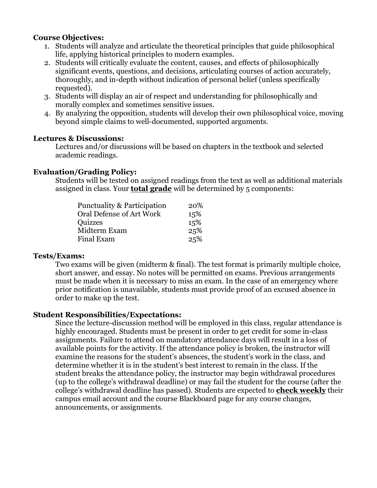## **Course Objectives:**

- 1. Students will analyze and articulate the theoretical principles that guide philosophical life, applying historical principles to modern examples.
- 2. Students will critically evaluate the content, causes, and effects of philosophically significant events, questions, and decisions, articulating courses of action accurately, thoroughly, and in-depth without indication of personal belief (unless specifically requested).
- 3. Students will display an air of respect and understanding for philosophically and morally complex and sometimes sensitive issues.
- 4. By analyzing the opposition, students will develop their own philosophical voice, moving beyond simple claims to well-documented, supported arguments.

## **Lectures & Discussions:**

Lectures and/or discussions will be based on chapters in the textbook and selected academic readings.

## **Evaluation/Grading Policy:**

Students will be tested on assigned readings from the text as well as additional materials assigned in class. Your **total grade** will be determined by 5 components:

| Punctuality & Participation | 20% |
|-----------------------------|-----|
| Oral Defense of Art Work    | 15% |
| Quizzes                     | 15% |
| Midterm Exam                | 25% |
| <b>Final Exam</b>           | 25% |

### **Tests/Exams:**

Two exams will be given (midterm & final). The test format is primarily multiple choice, short answer, and essay. No notes will be permitted on exams. Previous arrangements must be made when it is necessary to miss an exam. In the case of an emergency where prior notification is unavailable, students must provide proof of an excused absence in order to make up the test.

## **Student Responsibilities/Expectations:**

Since the lecture-discussion method will be employed in this class, regular attendance is highly encouraged. Students must be present in order to get credit for some in-class assignments. Failure to attend on mandatory attendance days will result in a loss of available points for the activity. If the attendance policy is broken, the instructor will examine the reasons for the student's absences, the student's work in the class, and determine whether it is in the student's best interest to remain in the class. If the student breaks the attendance policy, the instructor may begin withdrawal procedures (up to the college's withdrawal deadline) or may fail the student for the course (after the college's withdrawal deadline has passed). Students are expected to **check weekly** their campus email account and the course Blackboard page for any course changes, announcements, or assignments.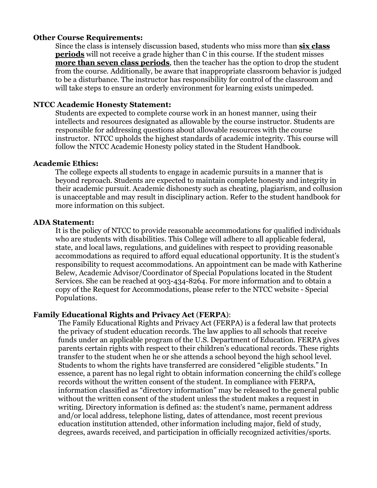#### **Other Course Requirements:**

Since the class is intensely discussion based, students who miss more than **six class periods** will not receive a grade higher than C in this course. If the student misses **more than seven class periods**, then the teacher has the option to drop the student from the course. Additionally, be aware that inappropriate classroom behavior is judged to be a disturbance. The instructor has responsibility for control of the classroom and will take steps to ensure an orderly environment for learning exists unimpeded.

#### **NTCC Academic Honesty Statement:**

Students are expected to complete course work in an honest manner, using their intellects and resources designated as allowable by the course instructor. Students are responsible for addressing questions about allowable resources with the course instructor. NTCC upholds the highest standards of academic integrity. This course will follow the NTCC Academic Honesty policy stated in the Student Handbook.

### **Academic Ethics:**

The college expects all students to engage in academic pursuits in a manner that is beyond reproach. Students are expected to maintain complete honesty and integrity in their academic pursuit. Academic dishonesty such as cheating, plagiarism, and collusion is unacceptable and may result in disciplinary action. Refer to the student handbook for more information on this subject.

#### **ADA Statement:**

It is the policy of NTCC to provide reasonable accommodations for qualified individuals who are students with disabilities. This College will adhere to all applicable federal, state, and local laws, regulations, and guidelines with respect to providing reasonable accommodations as required to afford equal educational opportunity. It is the student's responsibility to request accommodations. An appointment can be made with Katherine Belew, Academic Advisor/Coordinator of Special Populations located in the Student Services. She can be reached at 903-434-8264. For more information and to obtain a copy of the Request for Accommodations, please refer to the NTCC website - Special Populations.

#### **Family Educational Rights and Privacy Act** (**FERPA**):

The Family Educational Rights and Privacy Act (FERPA) is a federal law that protects the privacy of student education records. The law applies to all schools that receive funds under an applicable program of the U.S. Department of Education. FERPA gives parents certain rights with respect to their children's educational records. These rights transfer to the student when he or she attends a school beyond the high school level. Students to whom the rights have transferred are considered "eligible students." In essence, a parent has no legal right to obtain information concerning the child's college records without the written consent of the student. In compliance with FERPA, information classified as "directory information" may be released to the general public without the written consent of the student unless the student makes a request in writing. Directory information is defined as: the student's name, permanent address and/or local address, telephone listing, dates of attendance, most recent previous education institution attended, other information including major, field of study, degrees, awards received, and participation in officially recognized activities/sports.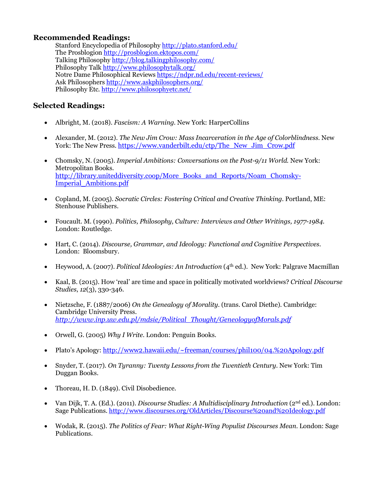## **Recommended Readings:**

Stanford Encyclopedia of Philosophy http://plato.stanford.edu/ The Prosblogion http://prosblogion.ektopos.com/ Talking Philosophy http://blog.talkingphilosophy.com/ Philosophy Talk http://www.philosophytalk.org/ Notre Dame Philosophical Reviews https://ndpr.nd.edu/recent-reviews/ Ask Philosophers http://www.askphilosophers.org/ Philosophy Etc. http://www.philosophyetc.net/

### **Selected Readings:**

- Albright, M. (2018). *Fascism: A Warning.* New York: HarperCollins
- Alexander, M. (2012). *The New Jim Crow: Mass Incarceration in the Age of Colorblindness.* New York: The New Press. https://www.vanderbilt.edu/ctp/The\_New\_Jim\_Crow.pdf
- Chomsky, N. (2005). *Imperial Ambitions: Conversations on the Post-9/11 World.* New York: Metropolitan Books. http://library.uniteddiversity.coop/More\_Books\_and\_Reports/Noam\_Chomsky-Imperial\_Ambitions.pdf
- Copland, M. (2005). *Socratic Circles: Fostering Critical and Creative Thinking*. Portland, ME: Stenhouse Publishers.
- Foucault. M. (1990). *Politics, Philosophy, Culture: Interviews and Other Writings, 1977-1984*. London: Routledge.
- Hart, C. (2014). *Discourse, Grammar, and Ideology: Functional and Cognitive Perspectives.*  London: Bloomsbury.
- Heywood, A. (2007). *Political Ideologies: An Introduction* (4th ed.). New York: Palgrave Macmillan
- Kaal, B. (2015). How 'real' are time and space in politically motivated worldviews? *Critical Discourse Studies*, *12*(3), 330-346.
- Nietzsche, F. (1887/2006) *On the Genealogy of Morality.* (trans. Carol Diethe). Cambridge: Cambridge University Press. *http://www.inp.uw.edu.pl/mdsie/Political\_Thought/GeneologyofMorals.pdf*
- Orwell, G. (2005) *Why I Write.* London: Penguin Books.
- Plato's Apology: http://www2.hawaii.edu/~freeman/courses/phil100/04.%20Apology.pdf
- Snyder, T. (2017). *On Tyranny: Twenty Lessons from the Twentieth Century.* New York: Tim Duggan Books.
- Thoreau, H. D. (1849). Civil Disobedience.
- Van Dijk, T. A. (Ed.). (2011). *Discourse Studies: A Multidisciplinary Introduction* (2nd ed.). London: Sage Publications. http://www.discourses.org/OldArticles/Discourse%20and%20Ideology.pdf
- Wodak, R. (2015). *The Politics of Fear: What Right-Wing Populist Discourses Mean*. London: Sage Publications.